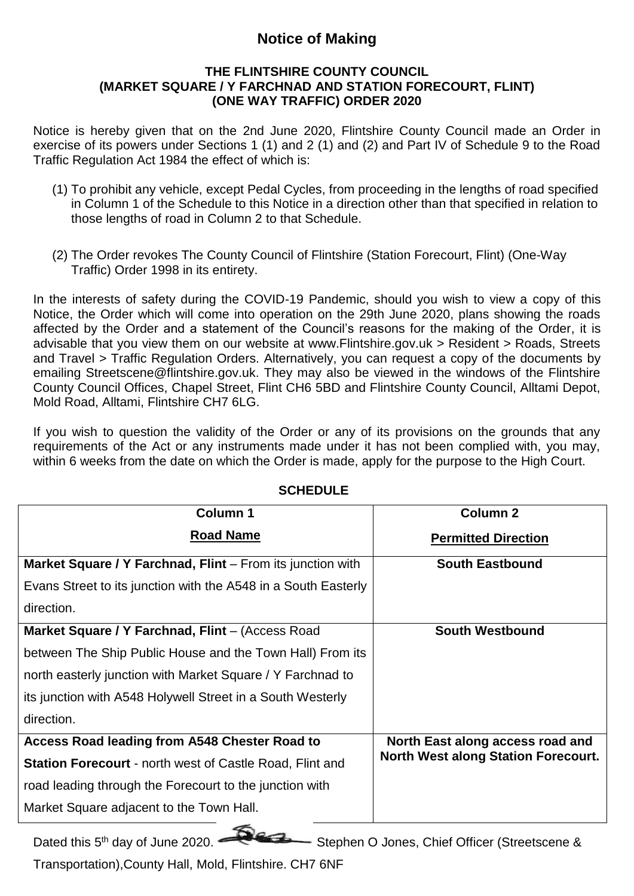### **Notice of Making**

#### **THE FLINTSHIRE COUNTY COUNCIL (MARKET SQUARE / Y FARCHNAD AND STATION FORECOURT, FLINT) (ONE WAY TRAFFIC) ORDER 2020**

Notice is hereby given that on the 2nd June 2020, Flintshire County Council made an Order in exercise of its powers under Sections 1 (1) and 2 (1) and (2) and Part IV of Schedule 9 to the Road Traffic Regulation Act 1984 the effect of which is:

- (1) To prohibit any vehicle, except Pedal Cycles, from proceeding in the lengths of road specified in Column 1 of the Schedule to this Notice in a direction other than that specified in relation to those lengths of road in Column 2 to that Schedule.
- (2) The Order revokes The County Council of Flintshire (Station Forecourt, Flint) (One-Way Traffic) Order 1998 in its entirety.

In the interests of safety during the COVID-19 Pandemic, should you wish to view a copy of this Notice, the Order which will come into operation on the 29th June 2020, plans showing the roads affected by the Order and a statement of the Council's reasons for the making of the Order, it is advisable that you view them on our website at <www.Flintshire.gov.uk> > Resident > Roads, Streets and Travel > Traffic Regulation Orders. Alternatively, you can request a copy of the documents by emailing Streetscene@flintshire.gov.uk. They may also be viewed in the windows of the Flintshire County Council Offices, Chapel Street, Flint CH6 5BD and Flintshire County Council, Alltami Depot, Mold Road, Alltami, Flintshire CH7 6LG.

If you wish to question the validity of the Order or any of its provisions on the grounds that any requirements of the Act or any instruments made under it has not been complied with, you may, within 6 weeks from the date on which the Order is made, apply for the purpose to the High Court.

| <b>Column 1</b>                                                   | <b>Column 2</b>                            |
|-------------------------------------------------------------------|--------------------------------------------|
| <b>Road Name</b>                                                  | <b>Permitted Direction</b>                 |
| <b>Market Square / Y Farchnad, Flint</b> – From its junction with | <b>South Eastbound</b>                     |
| Evans Street to its junction with the A548 in a South Easterly    |                                            |
| direction.                                                        |                                            |
| Market Square / Y Farchnad, Flint - (Access Road                  | <b>South Westbound</b>                     |
| between The Ship Public House and the Town Hall) From its         |                                            |
| north easterly junction with Market Square / Y Farchnad to        |                                            |
| its junction with A548 Holywell Street in a South Westerly        |                                            |
| direction.                                                        |                                            |
| Access Road leading from A548 Chester Road to                     | North East along access road and           |
| <b>Station Forecourt</b> - north west of Castle Road, Flint and   | <b>North West along Station Forecourt.</b> |
| road leading through the Forecourt to the junction with           |                                            |
| Market Square adjacent to the Town Hall.                          |                                            |

#### **SCHEDULE**

Dated this 5<sup>th</sup> day of June 2020. - Stephen O Jones, Chief Officer (Streetscene &

Transportation),County Hall, Mold, Flintshire. CH7 6NF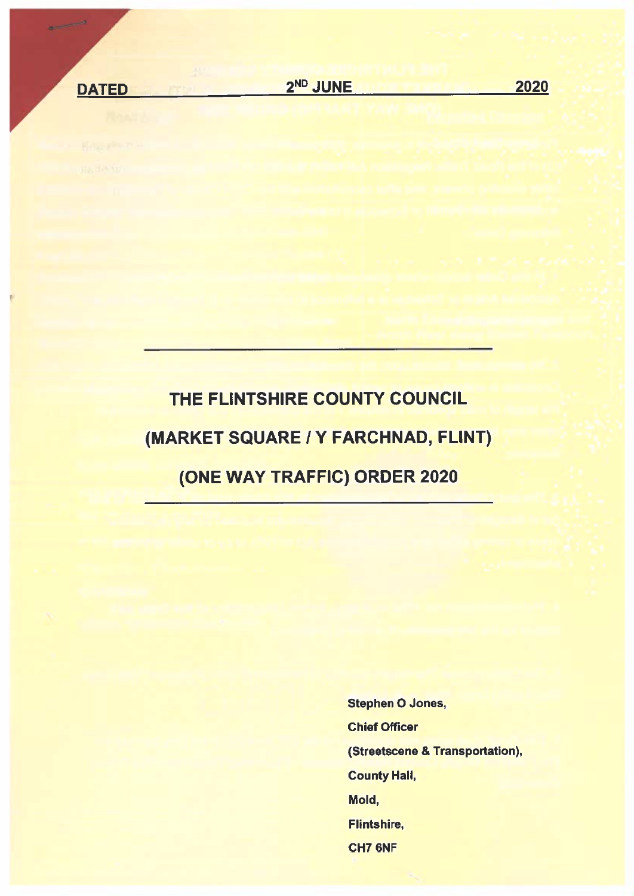**DATED** 

 $\frac{1}{\left( \frac{1}{\sqrt{2}}\right) \left( \frac{1}{\sqrt{2}}\right) } \left( \frac{1}{\sqrt{2}}\right) \left( \frac{1}{\sqrt{2}}\right)$ 

2020

# THE FLINTSHIRE COUNTY COUNCIL (MARKET SQUARE / Y FARCHNAD, FLINT) (ONE WAY TRAFFIC) ORDER 2020

**Stephen O Jones, Chief Officer** (Streetscene & Transportation), **County Hall,** Mold, Flintshire. CH7 6NF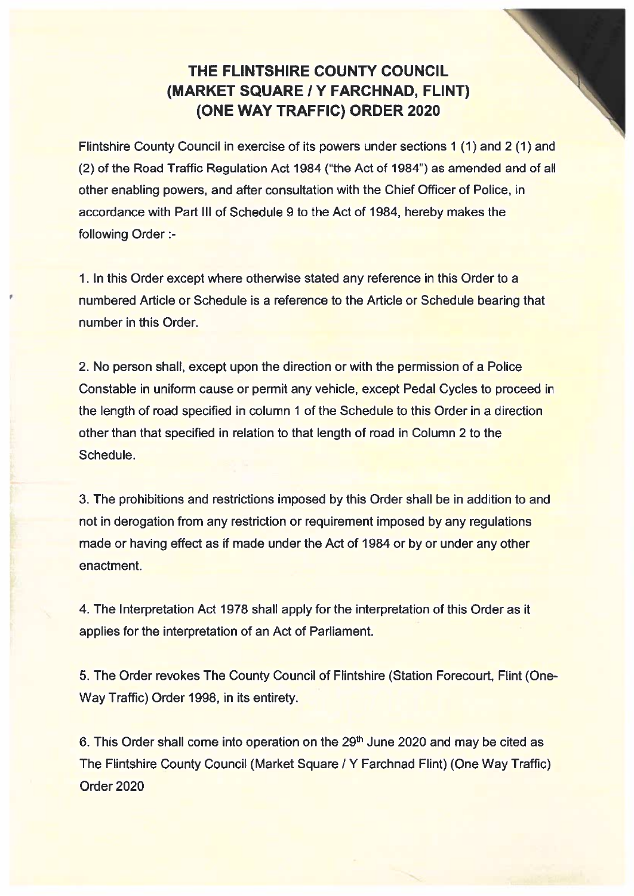## THE FLINTSHIRE COUNTY COUNCIL (MARKET SQUARE / Y FARCHNAD, FLINT) **(ONE WAY TRAFFIC) ORDER 2020**

Flintshire County Council in exercise of its powers under sections 1 (1) and 2 (1) and (2) of the Road Traffic Regulation Act 1984 ("the Act of 1984") as amended and of all other enabling powers, and after consultation with the Chief Officer of Police, in accordance with Part III of Schedule 9 to the Act of 1984, hereby makes the following Order :-

1. In this Order except where otherwise stated any reference in this Order to a numbered Article or Schedule is a reference to the Article or Schedule bearing that number in this Order

2. No person shall, except upon the direction or with the permission of a Police Constable in uniform cause or permit any vehicle, except Pedal Cycles to proceed in the length of road specified in column 1 of the Schedule to this Order in a direction other than that specified in relation to that length of road in Column 2 to the Schedule.

3. The prohibitions and restrictions imposed by this Order shall be in addition to and not in derogation from any restriction or requirement imposed by any requlations made or having effect as if made under the Act of 1984 or by or under any other enactment.

4. The Interpretation Act 1978 shall apply for the interpretation of this Order as it applies for the interpretation of an Act of Parliament.

5. The Order revokes The County Council of Flintshire (Station Forecourt, Flint (One-Way Traffic) Order 1998, in its entirety.

6. This Order shall come into operation on the 29<sup>th</sup> June 2020 and may be cited as The Flintshire County Council (Market Square / Y Farchnad Flint) (One Way Traffic) Order 2020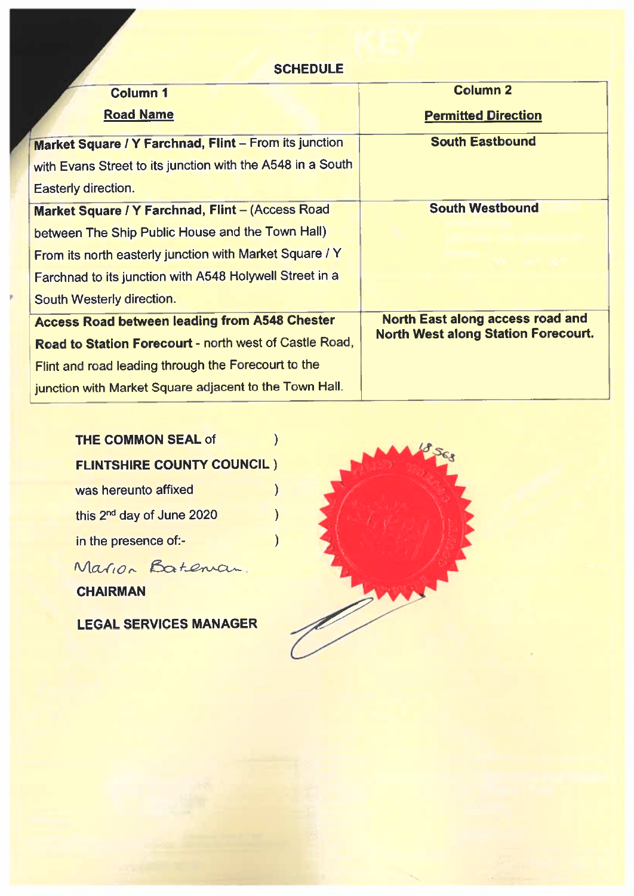#### **SCHEDULE**

| <b>Column 1</b>                                            | <b>Column 2</b>                            |
|------------------------------------------------------------|--------------------------------------------|
| <b>Road Name</b>                                           | <b>Permitted Direction</b>                 |
| Market Square / Y Farchnad, Flint - From its junction      | <b>South Eastbound</b>                     |
| with Evans Street to its junction with the A548 in a South |                                            |
| <b>Easterly direction.</b>                                 |                                            |
| Market Square / Y Farchnad, Flint - (Access Road           | <b>South Westbound</b>                     |
| between The Ship Public House and the Town Hall)           |                                            |
| From its north easterly junction with Market Square / Y    |                                            |
| Farchnad to its junction with A548 Holywell Street in a    |                                            |
| South Westerly direction.                                  |                                            |
| <b>Access Road between leading from A548 Chester</b>       | <b>North East along access road and</b>    |
| Road to Station Forecourt - north west of Castle Road,     | <b>North West along Station Forecourt.</b> |
| Flint and road leading through the Forecourt to the        |                                            |
| junction with Market Square adjacent to the Town Hall.     |                                            |

 $\mathcal{E}$ 

 $\mathcal{L}$ 

#### THE COMMON SEAL of  $\lambda$ **FLINTSHIRE COUNTY COUNCIL)** was hereunto affixed  $\overline{\phantom{0}}$

| this 2 <sup>nd</sup> day of June 2020 |  |
|---------------------------------------|--|
| in the presence of:-                  |  |

Marion Bateman.

**CHAIRMAN** 

**LEGAL SERVICES MANAGER** 

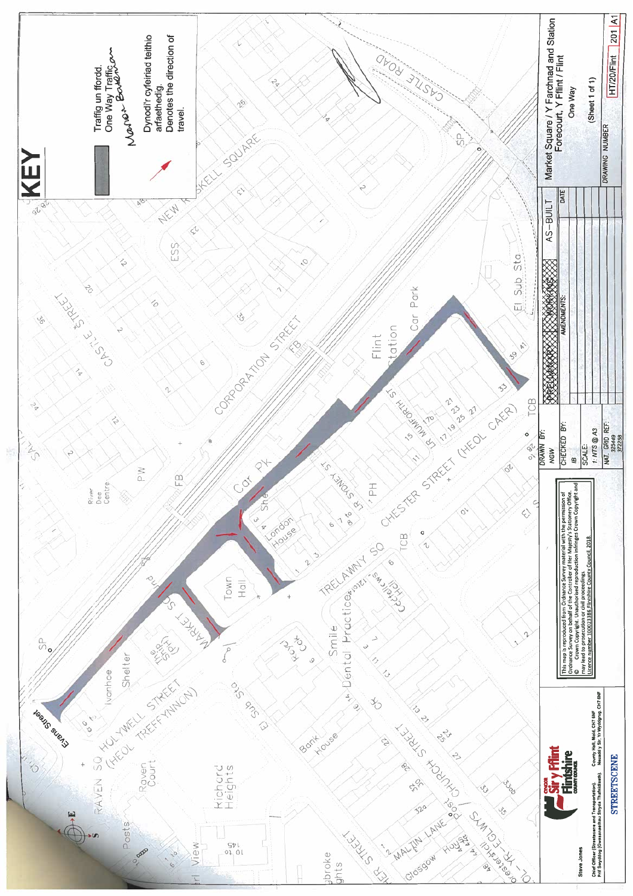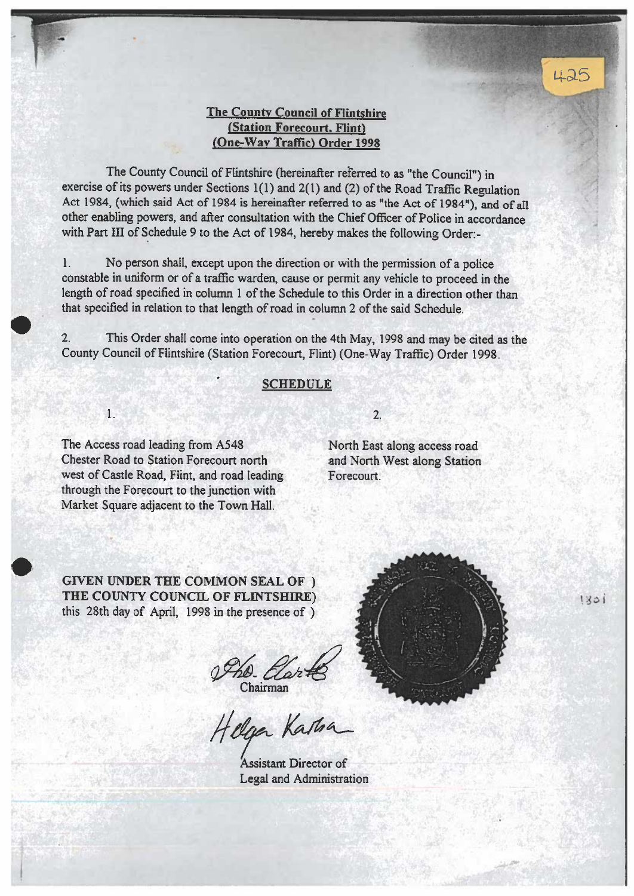#### **The County Council of Flintshire** (Station Forecourt. Flint) (One-Way Traffic) Order 1998

The County Council of Flintshire (hereinafter referred to as "the Council") in exercise of its powers under Sections 1(1) and 2(1) and (2) of the Road Traffic Regulation Act 1984, (which said Act of 1984 is hereinafter referred to as "the Act of 1984"), and of all other enabling powers, and after consultation with the Chief Officer of Police in accordance with Part III of Schedule 9 to the Act of 1984, hereby makes the following Order:-

 $\mathbf{1}$ . No person shall, except upon the direction or with the permission of a police constable in uniform or of a traffic warden, cause or permit any vehicle to proceed in the length of road specified in column 1 of the Schedule to this Order in a direction other than that specified in relation to that length of road in column 2 of the said Schedule.

This Order shall come into operation on the 4th May, 1998 and may be cited as the  $2.$ County Council of Flintshire (Station Forecourt, Flint) (One-Way Traffic) Order 1998.

#### **SCHEDULE**

 $1.$ 

The Access road leading from A548 Chester Road to Station Forecourt north west of Castle Road, Flint, and road leading through the Forecourt to the junction with Market Square adjacent to the Town Hall.

## $\overline{2}$

North East along access road and North West along Station Forecourt

**GIVEN UNDER THE COMMON SEAL OF )** THE COUNTY COUNCIL OF FLINTSHIRE) this 28th day of April, 1998 in the presence of )

The Elarts

Assistant Director of Legal and Administration



 $1801$ 

425